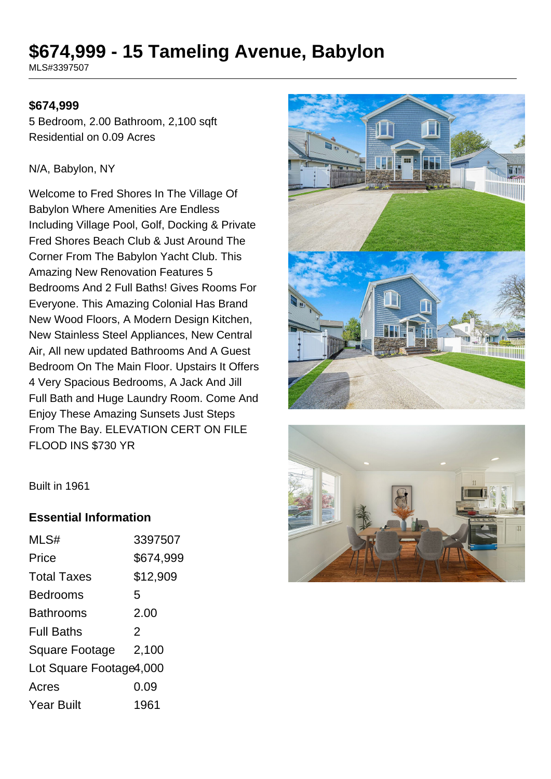# **\$674,999 - 15 Tameling Avenue, Babylon**

MLS#3397507

#### **\$674,999**

5 Bedroom, 2.00 Bathroom, 2,100 sqft Residential on 0.09 Acres

#### N/A, Babylon, NY

Welcome to Fred Shores In The Village Of Babylon Where Amenities Are Endless Including Village Pool, Golf, Docking & Private Fred Shores Beach Club & Just Around The Corner From The Babylon Yacht Club. This Amazing New Renovation Features 5 Bedrooms And 2 Full Baths! Gives Rooms For Everyone. This Amazing Colonial Has Brand New Wood Floors, A Modern Design Kitchen, New Stainless Steel Appliances, New Central Air, All new updated Bathrooms And A Guest Bedroom On The Main Floor. Upstairs It Offers 4 Very Spacious Bedrooms, A Jack And Jill Full Bath and Huge Laundry Room. Come And Enjoy These Amazing Sunsets Just Steps From The Bay. ELEVATION CERT ON FILE FLOOD INS \$730 YR





Built in 1961

#### **Essential Information**

| MLS#                    | 3397507       |
|-------------------------|---------------|
| Price                   | \$674,999     |
| <b>Total Taxes</b>      | \$12,909      |
| Bedrooms                | 5             |
| Bathrooms               | 2.00          |
| <b>Full Baths</b>       | $\mathcal{P}$ |
| Square Footage          | 2,100         |
| Lot Square Footage4,000 |               |
| Acres                   | 0.09          |
| Year Built              | 1961          |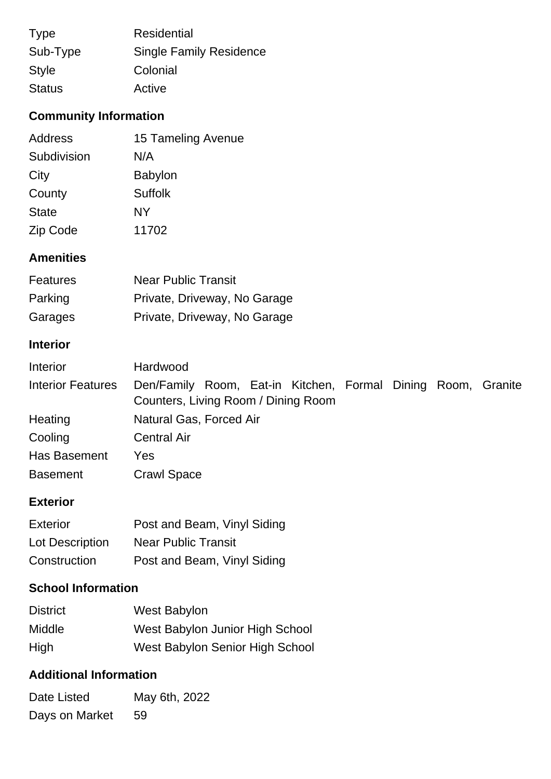| <b>Type</b>   | <b>Residential</b>             |
|---------------|--------------------------------|
| Sub-Type      | <b>Single Family Residence</b> |
| <b>Style</b>  | Colonial                       |
| <b>Status</b> | Active                         |

# **Community Information**

| 15 Tameling Avenue |
|--------------------|
| N/A                |
| <b>Babylon</b>     |
| <b>Suffolk</b>     |
| <b>NY</b>          |
| 11702              |
|                    |

## **Amenities**

| <b>Features</b> | <b>Near Public Transit</b>   |
|-----------------|------------------------------|
| Parking         | Private, Driveway, No Garage |
| Garages         | Private, Driveway, No Garage |

## **Interior**

| Interior                 | Hardwood                                                                                            |  |  |
|--------------------------|-----------------------------------------------------------------------------------------------------|--|--|
| <b>Interior Features</b> | Den/Family Room, Eat-in Kitchen, Formal Dining Room, Granite<br>Counters, Living Room / Dining Room |  |  |
| Heating                  | Natural Gas, Forced Air                                                                             |  |  |
| Cooling                  | <b>Central Air</b>                                                                                  |  |  |
| Has Basement             | Yes                                                                                                 |  |  |
| <b>Basement</b>          | <b>Crawl Space</b>                                                                                  |  |  |

### **Exterior**

| Exterior        | Post and Beam, Vinyl Siding |
|-----------------|-----------------------------|
| Lot Description | <b>Near Public Transit</b>  |
| Construction    | Post and Beam, Vinyl Siding |

## **School Information**

| <b>District</b> | <b>West Babylon</b>             |
|-----------------|---------------------------------|
| <b>Middle</b>   | West Babylon Junior High School |
| High            | West Babylon Senior High School |

## **Additional Information**

| Date Listed    | May 6th, 2022 |
|----------------|---------------|
| Days on Market | 59            |